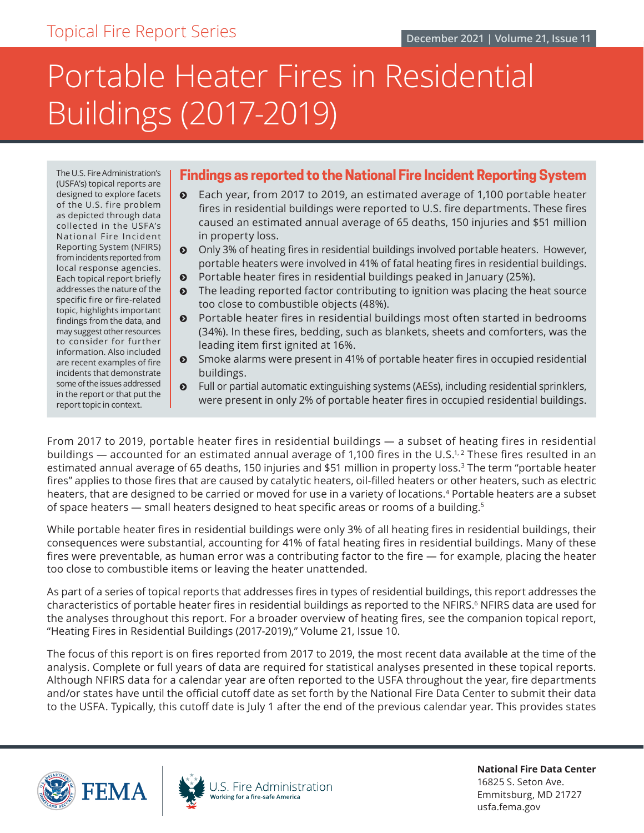# Portable Heater Fires in Residential Buildings (2017-2019)

The U.S. Fire Administration's (USFA's) topical reports are designed to explore facets of the U.S. fire problem as depicted through data collected in the USFA's National Fire Incident Reporting System (NFIRS) from incidents reported from local response agencies. Each topical report briefly addresses the nature of the specific fire or fire-related topic, highlights important findings from the data, and may suggest other resources to consider for further information. Also included are recent examples of fire incidents that demonstrate some of the issues addressed in the report or that put the report topic in context.

# **Findings as reported to the National Fire Incident Reporting System**

- **•** Each year, from 2017 to 2019, an estimated average of 1,100 portable heater fires in residential buildings were reported to U.S. fire departments. These fires caused an estimated annual average of 65 deaths, 150 injuries and \$51 million in property loss.
- **O** Only 3% of heating fires in residential buildings involved portable heaters. However, portable heaters were involved in 41% of fatal heating fires in residential buildings.
- **•** Portable heater fires in residential buildings peaked in January (25%).
- ĵ The leading reported factor contributing to ignition was placing the heat source too close to combustible objects (48%).
- $\odot$  Portable heater fires in residential buildings most often started in bedrooms (34%). In these fires, bedding, such as blankets, sheets and comforters, was the leading item first ignited at 16%.
- **•** Smoke alarms were present in 41% of portable heater fires in occupied residential buildings.
- ĵ Full or partial automatic extinguishing systems (AESs), including residential sprinklers, were present in only 2% of portable heater fires in occupied residential buildings.

From 2017 to 2019, portable heater fires in residential buildings — a subset of heating fires in residential buildings — accounted for an estimated annual average of 1,100 fires in the U.S.<sup>1,2</sup> These fires resulted in an estimated annual average of 65 deaths, 150 injuries and \$51 million in property loss.<sup>[3](#page-11-0)</sup> The term "portable heater fires" applies to those fires that are caused by catalytic heaters, oil-filled heaters or other heaters, such as electric heaters, that are designed to be carried or moved for use in a variety of locations.[4](#page-11-0) Portable heaters are a subset of space heaters — small heaters designed to heat specific areas or rooms of a building.<sup>[5](#page-11-0)</sup>

While portable heater fires in residential buildings were only 3% of all heating fires in residential buildings, their consequences were substantial, accounting for 41% of fatal heating fires in residential buildings. Many of these fires were preventable, as human error was a contributing factor to the fire — for example, placing the heater too close to combustible items or leaving the heater unattended.

As part of a series of topical reports that addresses fires in types of residential buildings, this report addresses the characteristics of portable heater fires in residential buildings as reported to the NFIRS.[6](#page-11-0) NFIRS data are used for the analyses throughout this report. For a broader overview of heating fires, see the companion topical report, "Heating Fires in Residential Buildings (2017-2019)," Volume 21, Issue 10.

The focus of this report is on fires reported from 2017 to 2019, the most recent data available at the time of the analysis. Complete or full years of data are required for statistical analyses presented in these topical reports. Although NFIRS data for a calendar year are often reported to the USFA throughout the year, fire departments and/or states have until the official cutoff date as set forth by the National Fire Data Center to submit their data to the USFA. Typically, this cutoff date is July 1 after the end of the previous calendar year. This provides states





**National Fire Data Center** 16825 S. Seton Ave. Emmitsburg, MD 21727 [usfa.fema.gov](http://www.usfa.fema.gov)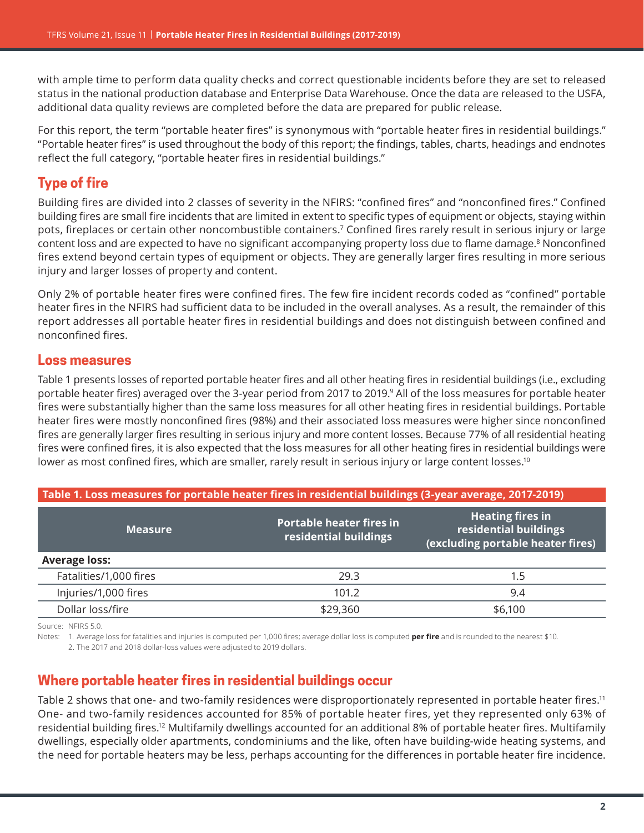with ample time to perform data quality checks and correct questionable incidents before they are set to released status in the national production database and Enterprise Data Warehouse. Once the data are released to the USFA, additional data quality reviews are completed before the data are prepared for public release.

For this report, the term "portable heater fires" is synonymous with "portable heater fires in residential buildings." "Portable heater fires" is used throughout the body of this report; the findings, tables, charts, headings and endnotes reflect the full category, "portable heater fires in residential buildings."

# **Type of fire**

Building fires are divided into 2 classes of severity in the NFIRS: "confined fires" and "nonconfined fires." Confined building fires are small fire incidents that are limited in extent to specific types of equipment or objects, staying within pots, fireplaces or certain other noncombustible containers.[7](#page-11-0) Confined fires rarely result in serious injury or large content loss and are expected to have no significant accompanying property loss due to flame damage.<sup>[8](#page-11-0)</sup> Nonconfined fires extend beyond certain types of equipment or objects. They are generally larger fires resulting in more serious injury and larger losses of property and content.

Only 2% of portable heater fires were confined fires. The few fire incident records coded as "confined" portable heater fires in the NFIRS had sufficient data to be included in the overall analyses. As a result, the remainder of this report addresses all portable heater fires in residential buildings and does not distinguish between confined and nonconfined fires.

## **Loss measures**

[T](#page-1-0)able 1 presents losses of reported portable heater fires and all other heating fires in residential buildings (i.e., excluding portable heater fires) averaged over the 3-year period from 2017 to 201[9](#page-11-0).º All of the loss measures for portable heater fires were substantially higher than the same loss measures for all other heating fires in residential buildings. Portable heater fires were mostly nonconfined fires (98%) and their associated loss measures were higher since nonconfined fires are generally larger fires resulting in serious injury and more content losses. Because 77% of all residential heating fires were confined fires, it is also expected that the loss measures for all other heating fires in residential buildings were lower as most confined fires, which are smaller, rarely result in serious injury or large content losses.<sup>[10](#page-11-0)</sup>

<span id="page-1-0"></span>

| Table 1. Loss measures for portable heater fires in residential buildings (3-year average, 2017-2019) |          |                                                                                       |  |  |
|-------------------------------------------------------------------------------------------------------|----------|---------------------------------------------------------------------------------------|--|--|
| <b>Portable heater fires in</b><br><b>Measure</b><br>residential buildings                            |          | <b>Heating fires in</b><br>residential buildings<br>(excluding portable heater fires) |  |  |
| <b>Average loss:</b>                                                                                  |          |                                                                                       |  |  |
| Fatalities/1,000 fires                                                                                | 29.3     | 1.5                                                                                   |  |  |
| Injuries/1,000 fires                                                                                  | 101.2    | 9.4                                                                                   |  |  |
| Dollar loss/fire                                                                                      | \$29,360 | \$6,100                                                                               |  |  |

Source: NEIRS 5.0.

Notes: 1. Average loss for fatalities and injuries is computed per 1,000 fires; average dollar loss is computed **per fire** and is rounded to the nearest \$10.

2. The 2017 and 2018 dollar-loss values were adjusted to 2019 dollars.

# **Where portable heater fires in residential buildings occur**

Table 2 shows that one- and two-family residences were disproportionately represented in portable heater fires.<sup>[11](#page-11-0)</sup> One- and two-family residences accounted for 85% of portable heater fires, yet they represented only 63% of residential building fires.[12](#page-11-0) Multifamily dwellings accounted for an additional 8% of portable heater fires. Multifamily dwellings, especially older apartments, condominiums and the like, often have building-wide heating systems, and the need for portable heaters may be less, perhaps accounting for the differences in portable heater fire incidence.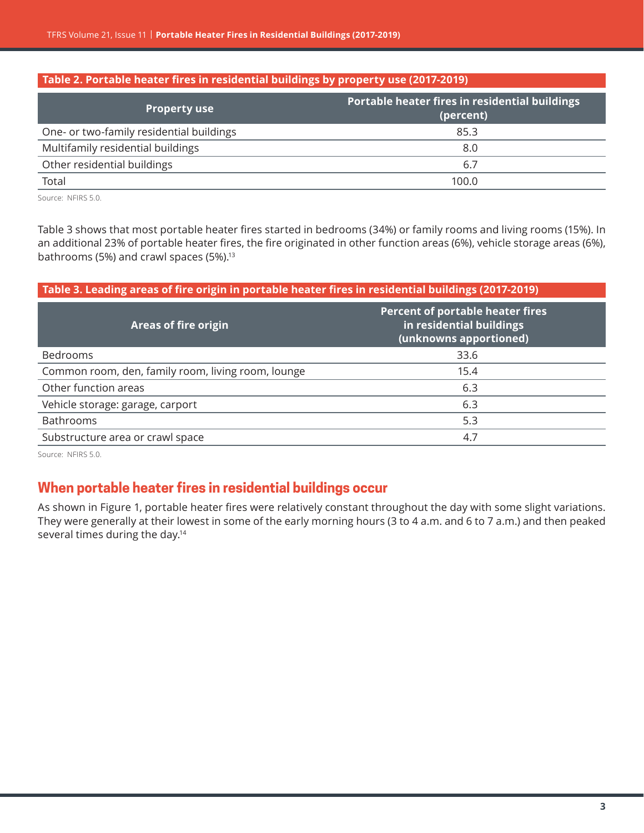#### **Table 2. Portable heater fires in residential buildings by property use (2017-2019)**

| <b>Property use</b>                      | Portable heater fires in residential buildings<br>(percent) |
|------------------------------------------|-------------------------------------------------------------|
| One- or two-family residential buildings | 85.3                                                        |
| Multifamily residential buildings        | 8.0                                                         |
| Other residential buildings              | 6.7                                                         |
| Total                                    | 100.0                                                       |

Source: NFIRS 5.0.

Table 3 shows that most portable heater fires started in bedrooms (34%) or family rooms and living rooms (15%). In an additional 23% of portable heater fires, the fire originated in other function areas (6%), vehicle storage areas (6%), bathrooms (5%) and crawl spaces (5%).<sup>[13](#page-11-0)</sup>

#### **Table 3. Leading areas of fire origin in portable heater fires in residential buildings (2017-2019)**

| <b>Areas of fire origin</b>                        | <b>Percent of portable heater fires</b><br>in residential buildings<br>(unknowns apportioned) |
|----------------------------------------------------|-----------------------------------------------------------------------------------------------|
| Bedrooms                                           | 33.6                                                                                          |
| Common room, den, family room, living room, lounge | 15.4                                                                                          |
| Other function areas                               | 6.3                                                                                           |
| Vehicle storage: garage, carport                   | 6.3                                                                                           |
| <b>Bathrooms</b>                                   | 5.3                                                                                           |
| Substructure area or crawl space                   | -4.7                                                                                          |

Source: NFIRS 5.0.

## **When portable heater fires in residential buildings occur**

As shown in Figure 1, portable heater fires were relatively constant throughout the day with some slight variations. They were generally at their lowest in some of the early morning hours (3 to 4 a.m. and 6 to 7 a.m.) and then peaked several times during the day.<sup>[14](#page-12-0)</sup>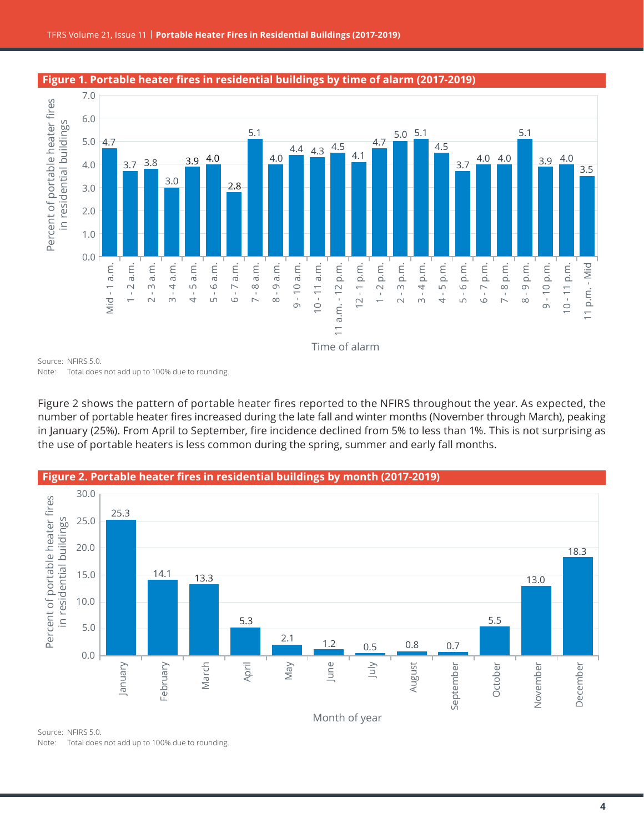

**Figure 1. Portable heater fires in residential buildings by time of alarm (2017-2019)**

Source: NFIRS 5.0. Note: Total does not add up to 100% due to rounding.

Figure 2 shows the pattern of portable heater fires reported to the NFIRS throughout the year. As expected, the number of portable heater fires increased during the late fall and winter months (November through March), peaking in January (25%). From April to September, fire incidence declined from 5% to less than 1%. This is not surprising as the use of portable heaters is less common during the spring, summer and early fall months.



Source: NFIRS 5.0. Note: Total does not add up to 100% due to rounding.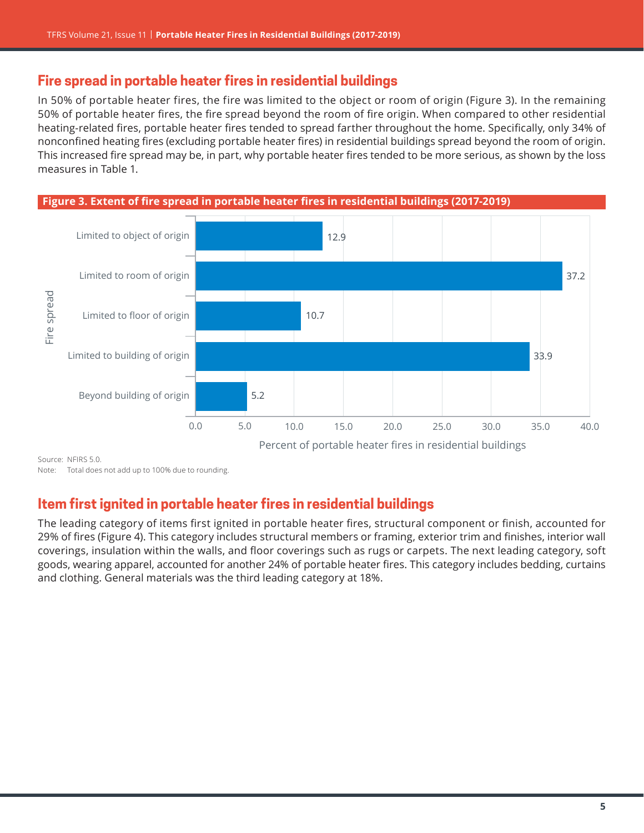## **Fire spread in portable heater fires in residential buildings**

In 50% of portable heater fires, the fire was limited to the object or room of origin (Figure 3). In the remaining 50% of portable heater fires, the fire spread beyond the room of fire origin. When compared to other residential heating-related fires, portable heater fires tended to spread farther throughout the home. Specifically, only 34% of nonconfined heating fires (excluding portable heater fires) in residential buildings spread beyond the room of origin. This increased fire spread may be, in part, why portable heater fires tended to be more serious, as shown by the loss measures in [Table](#page-1-0) 1.



Source: NFIRS 5.0.

Note: Total does not add up to 100% due to rounding.

## **Item first ignited in portable heater fires in residential buildings**

The leading category of items first ignited in portable heater fires, structural component or finish, accounted for 29% of fires (Figure 4). This category includes structural members or framing, exterior trim and finishes, interior wall coverings, insulation within the walls, and floor coverings such as rugs or carpets. The next leading category, soft goods, wearing apparel, accounted for another 24% of portable heater fires. This category includes bedding, curtains and clothing. General materials was the third leading category at 18%.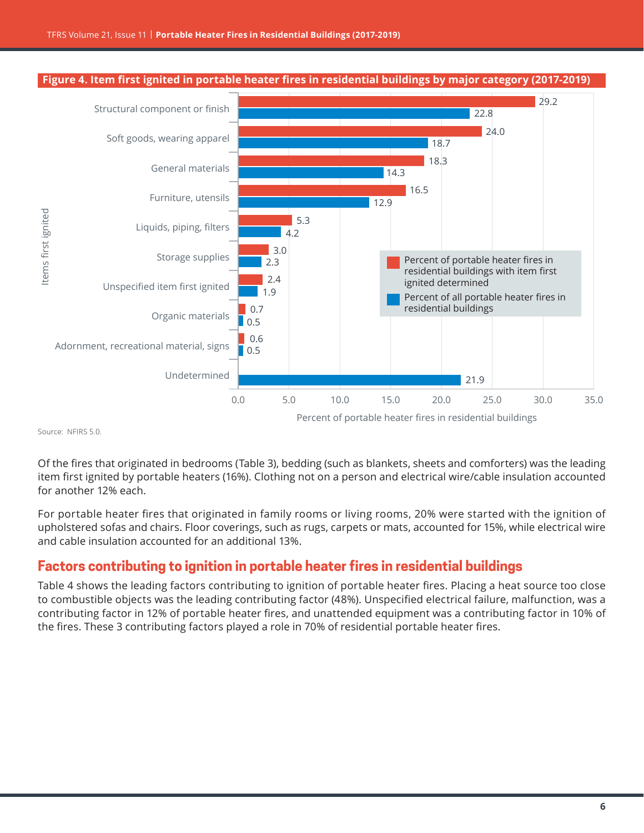

Source: NFIRS 5.0.

Of the fires that originated in bedrooms (Table 3), bedding (such as blankets, sheets and comforters) was the leading item first ignited by portable heaters (16%). Clothing not on a person and electrical wire/cable insulation accounted for another 12% each.

For portable heater fires that originated in family rooms or living rooms, 20% were started with the ignition of upholstered sofas and chairs. Floor coverings, such as rugs, carpets or mats, accounted for 15%, while electrical wire and cable insulation accounted for an additional 13%.

# **Factors contributing to ignition in portable heater fires in residential buildings**

Table 4 shows the leading factors contributing to ignition of portable heater fires. Placing a heat source too close to combustible objects was the leading contributing factor (48%). Unspecified electrical failure, malfunction, was a contributing factor in 12% of portable heater fires, and unattended equipment was a contributing factor in 10% of the fires. These 3 contributing factors played a role in 70% of residential portable heater fires.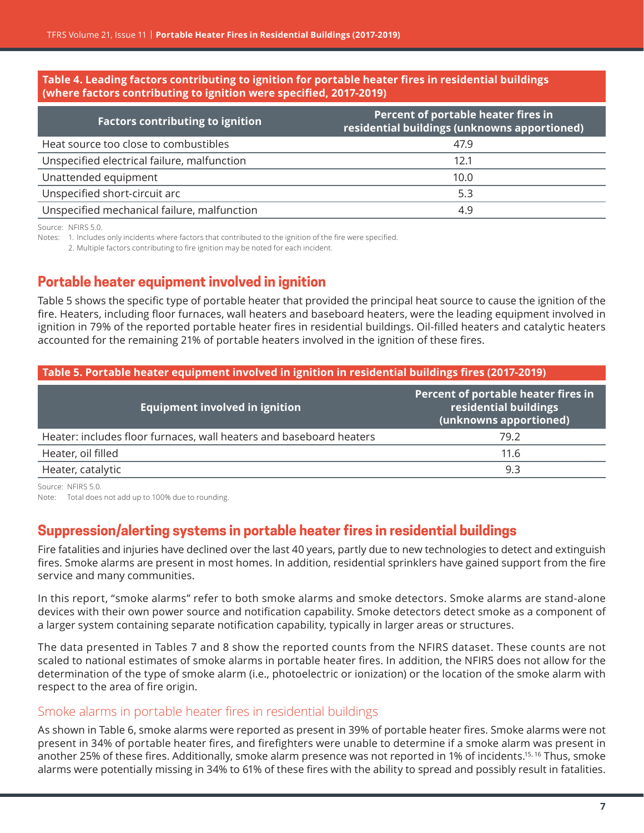#### **Table 4. Leading factors contributing to ignition for portable heater fires in residential buildings (where factors contributing to ignition were specified, 2017-2019)**

| <b>Factors contributing to ignition</b>     | Percent of portable heater fires in<br>residential buildings (unknowns apportioned) |
|---------------------------------------------|-------------------------------------------------------------------------------------|
| Heat source too close to combustibles       | 47.9                                                                                |
| Unspecified electrical failure, malfunction | 12.1                                                                                |
| Unattended equipment                        | 10.0                                                                                |
| Unspecified short-circuit arc               | 5.3                                                                                 |
| Unspecified mechanical failure, malfunction | 4.9                                                                                 |

Source: NFIRS 5.0.

Notes: 1. Includes only incidents where factors that contributed to the ignition of the fire were specified.

2. Multiple factors contributing to fire ignition may be noted for each incident.

# **Portable heater equipment involved in ignition**

Table 5 shows the specific type of portable heater that provided the principal heat source to cause the ignition of the fire. Heaters, including floor furnaces, wall heaters and baseboard heaters, were the leading equipment involved in ignition in 79% of the reported portable heater fires in residential buildings. Oil-filled heaters and catalytic heaters accounted for the remaining 21% of portable heaters involved in the ignition of these fires.

| Table 5. Portable heater equipment involved in ignition in residential buildings fires (2017-2019) |                                                                                        |  |
|----------------------------------------------------------------------------------------------------|----------------------------------------------------------------------------------------|--|
| <b>Equipment involved in ignition</b>                                                              | Percent of portable heater fires in<br>residential buildings<br>(unknowns apportioned) |  |
| Heater: includes floor furnaces, wall heaters and baseboard heaters                                | 79.2                                                                                   |  |
| Heater, oil filled                                                                                 | 11.6                                                                                   |  |
| Heater, catalytic                                                                                  | 9.3                                                                                    |  |

Source: NFIRS 5.0.

Note: Total does not add up to 100% due to rounding.

# **Suppression/alerting systems in portable heater fires in residential buildings**

Fire fatalities and injuries have declined over the last 40 years, partly due to new technologies to detect and extinguish fires. Smoke alarms are present in most homes. In addition, residential sprinklers have gained support from the fire service and many communities.

In this report, "smoke alarms" refer to both smoke alarms and smoke detectors. Smoke alarms are stand-alone devices with their own power source and notification capability. Smoke detectors detect smoke as a component of a larger system containing separate notification capability, typically in larger areas or structures.

The data presented in Tables 7 and 8 show the reported counts from the NFIRS dataset. These counts are not scaled to national estimates of smoke alarms in portable heater fires. In addition, the NFIRS does not allow for the determination of the type of smoke alarm (i.e., photoelectric or ionization) or the location of the smoke alarm with respect to the area of fire origin.

#### Smoke alarms in portable heater fires in residential buildings

As shown in Table 6, smoke alarms were reported as present in 39% of portable heater fires. Smoke alarms were not present in 34% of portable heater fires, and firefighters were unable to determine if a smoke alarm was present in another 25% of these fires. Additionally, smoke alarm presence was not reported in 1% of incidents.[15, 16](#page-12-0) Thus, smoke alarms were potentially missing in 34% to 61% of these fires with the ability to spread and possibly result in fatalities.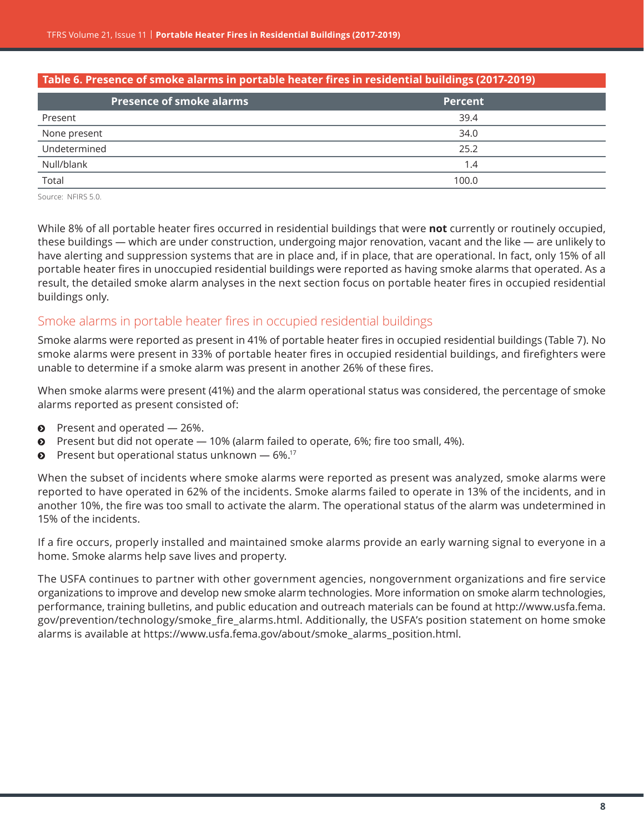| Table 6. Presence of smoke alarms in portable heater fires in residential buildings (2017-2019) |  |  |
|-------------------------------------------------------------------------------------------------|--|--|
| Percent                                                                                         |  |  |
| 39.4                                                                                            |  |  |
| 34.0                                                                                            |  |  |
| 25.2                                                                                            |  |  |
| 1.4                                                                                             |  |  |
| 100.0                                                                                           |  |  |
|                                                                                                 |  |  |

Source: NFIRS 5.0.

While 8% of all portable heater fires occurred in residential buildings that were **not** currently or routinely occupied, these buildings — which are under construction, undergoing major renovation, vacant and the like — are unlikely to have alerting and suppression systems that are in place and, if in place, that are operational. In fact, only 15% of all portable heater fires in unoccupied residential buildings were reported as having smoke alarms that operated. As a result, the detailed smoke alarm analyses in the next section focus on portable heater fires in occupied residential buildings only.

## Smoke alarms in portable heater fires in occupied residential buildings

Smoke alarms were reported as present in 41% of portable heater fires in occupied residential buildings (Table 7). No smoke alarms were present in 33% of portable heater fires in occupied residential buildings, and firefighters were unable to determine if a smoke alarm was present in another 26% of these fires.

When smoke alarms were present (41%) and the alarm operational status was considered, the percentage of smoke alarms reported as present consisted of:

- $\bullet$  Present and operated  $-$  26%.
- $\odot$  Present but did not operate  $-10\%$  (alarm failed to operate, 6%; fire too small, 4%).
- $\bullet$  Present but operational status unknown  $-6\%$ .<sup>[17](#page-12-0)</sup>

When the subset of incidents where smoke alarms were reported as present was analyzed, smoke alarms were reported to have operated in 62% of the incidents. Smoke alarms failed to operate in 13% of the incidents, and in another 10%, the fire was too small to activate the alarm. The operational status of the alarm was undetermined in 15% of the incidents.

If a fire occurs, properly installed and maintained smoke alarms provide an early warning signal to everyone in a home. Smoke alarms help save lives and property.

The USFA continues to partner with other government agencies, nongovernment organizations and fire service organizations to improve and develop new smoke alarm technologies. More information on smoke alarm technologies, performance, training bulletins, and public education and outreach materials can be found at [http://www.usfa.fema.](http://www.usfa.fema.gov/prevention/technology/smoke_fire_alarms.html) [gov/prevention/technology/smoke\\_fire\\_alarms.html](http://www.usfa.fema.gov/prevention/technology/smoke_fire_alarms.html). Additionally, the USFA's position statement on home smoke alarms is available at [https://www.usfa.fema.gov/about/smoke\\_alarms\\_position.html](https://www.usfa.fema.gov/about/smoke_alarms_position.html).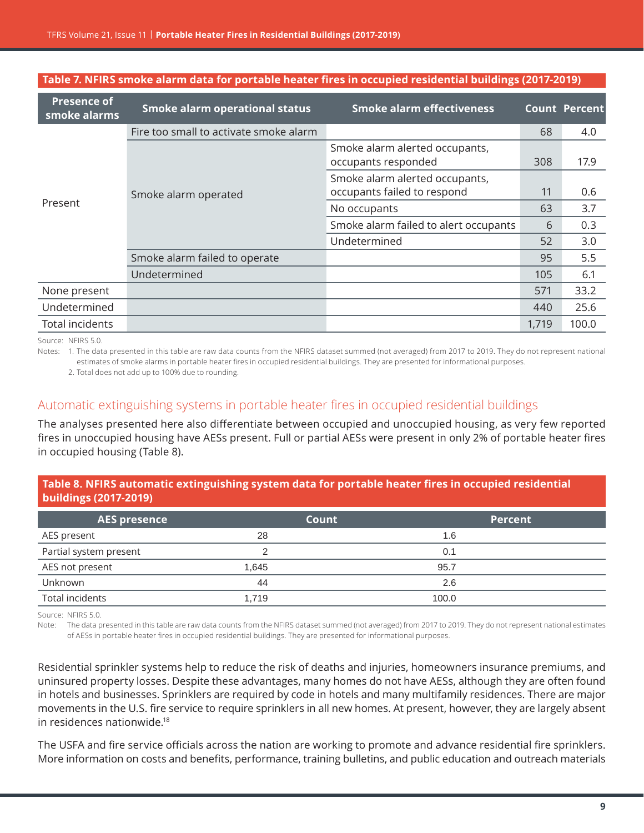| <b>Presence of</b><br>smoke alarms | <b>Smoke alarm operational status</b>  | <b>Smoke alarm effectiveness</b>                              |       | <b>Count Percent</b> |
|------------------------------------|----------------------------------------|---------------------------------------------------------------|-------|----------------------|
|                                    | Fire too small to activate smoke alarm |                                                               | 68    | 4.0                  |
| Present                            |                                        | Smoke alarm alerted occupants,<br>occupants responded         | 308   | 17.9                 |
|                                    | Smoke alarm operated                   | Smoke alarm alerted occupants,<br>occupants failed to respond | 11    | 0.6                  |
|                                    |                                        | No occupants                                                  | 63    | 3.7                  |
|                                    |                                        | Smoke alarm failed to alert occupants                         | 6     | 0.3                  |
|                                    |                                        | Undetermined                                                  | 52    | 3.0                  |
|                                    | Smoke alarm failed to operate          |                                                               | 95    | 5.5                  |
|                                    | Undetermined                           |                                                               | 105   | 6.1                  |
| None present                       |                                        |                                                               | 571   | 33.2                 |
| Undetermined                       |                                        |                                                               | 440   | 25.6                 |
| Total incidents                    |                                        |                                                               | 1,719 | 100.0                |

**Table 7. NFIRS smoke alarm data for portable heater fires in occupied residential buildings (2017-2019)**

Source: NFIRS 5.0.

Notes: 1. The data presented in this table are raw data counts from the NFIRS dataset summed (not averaged) from 2017 to 2019. They do not represent national estimates of smoke alarms in portable heater fires in occupied residential buildings. They are presented for informational purposes.

2. Total does not add up to 100% due to rounding.

## Automatic extinguishing systems in portable heater fires in occupied residential buildings

The analyses presented here also differentiate between occupied and unoccupied housing, as very few reported fires in unoccupied housing have AESs present. Full or partial AESs were present in only 2% of portable heater fires in occupied housing (Table 8).

#### **Table 8. NFIRS automatic extinguishing system data for portable heater fires in occupied residential buildings (2017-2019)**

| <b>AES presence</b>    |       | <b>Count</b> |       | <b>Percent</b> |
|------------------------|-------|--------------|-------|----------------|
| AES present            | 28    |              | 1.6   |                |
| Partial system present |       |              | 0.1   |                |
| AES not present        | 1.645 |              | 95.7  |                |
| Unknown                | 44    |              | 2.6   |                |
| Total incidents        | 1.719 |              | 100.0 |                |

Source: NFIRS 5.0.

Note: The data presented in this table are raw data counts from the NFIRS dataset summed (not averaged) from 2017 to 2019. They do not represent national estimates of AESs in portable heater fires in occupied residential buildings. They are presented for informational purposes.

Residential sprinkler systems help to reduce the risk of deaths and injuries, homeowners insurance premiums, and uninsured property losses. Despite these advantages, many homes do not have AESs, although they are often found in hotels and businesses. Sprinklers are required by code in hotels and many multifamily residences. There are major movements in the U.S. fire service to require sprinklers in all new homes. At present, however, they are largely absent in residences nationwide.[18](#page-12-0)

The USFA and fire service officials across the nation are working to promote and advance residential fire sprinklers. More information on costs and benefits, performance, training bulletins, and public education and outreach materials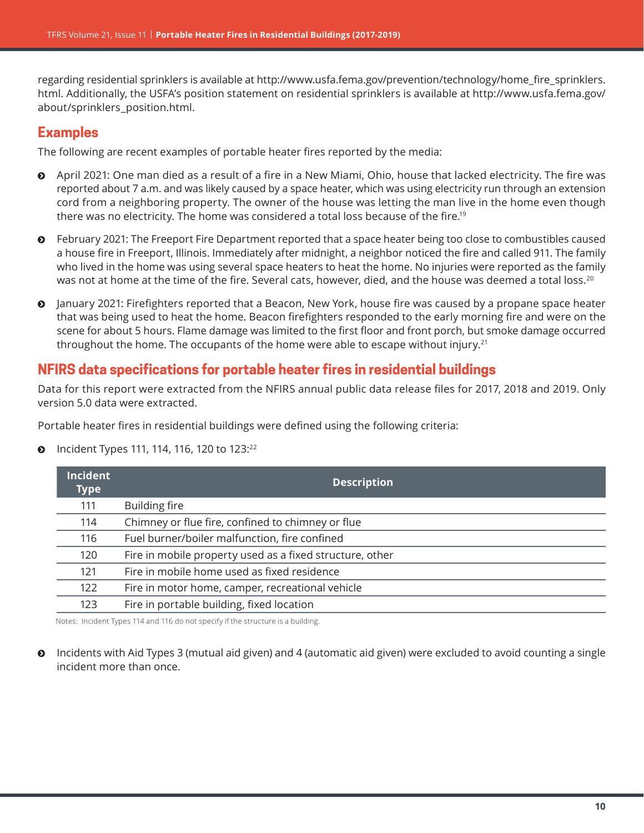regarding residential sprinklers is available at [http://www.usfa.fema.gov/prevention/technology/home\\_fire\\_sprinklers.](http://www.usfa.fema.gov/prevention/technology/home_fire_sprinklers.html) [html](http://www.usfa.fema.gov/prevention/technology/home_fire_sprinklers.html). Additionally, the USFA's position statement on residential sprinklers is available at [http://www.usfa.fema.gov/](http://www.usfa.fema.gov/about/sprinklers_position.html) [about/sprinklers\\_position.html](http://www.usfa.fema.gov/about/sprinklers_position.html).

## **Examples**

The following are recent examples of portable heater fires reported by the media:

- $\odot$  April 2021: One man died as a result of a fire in a New Miami, Ohio, house that lacked electricity. The fire was reported about 7 a.m. and was likely caused by a space heater, which was using electricity run through an extension cord from a neighboring property. The owner of the house was letting the man live in the home even though there was no electricity. The home was considered a total loss because of the fire.[19](#page-12-0)
- ĵ February 2021: The Freeport Fire Department reported that a space heater being too close to combustibles caused a house fire in Freeport, Illinois. Immediately after midnight, a neighbor noticed the fire and called 911. The family who lived in the home was using several space heaters to heat the home. No injuries were reported as the family was not at home at the time of the fire. Several cats, however, died, and the house was deemed a total loss.<sup>[20](#page-12-0)</sup>
- ĵ January 2021: Firefighters reported that a Beacon, New York, house fire was caused by a propane space heater that was being used to heat the home. Beacon firefighters responded to the early morning fire and were on the scene for about 5 hours. Flame damage was limited to the first floor and front porch, but smoke damage occurred throughout the home. The occupants of the home were able to escape without injury.<sup>[21](#page-12-0)</sup>

## **NFIRS data specifications for portable heater fires in residential buildings**

Data for this report were extracted from the NFIRS annual public data release files for 2017, 2018 and 2019. Only version 5.0 data were extracted.

Portable heater fires in residential buildings were defined using the following criteria:

 $\odot$  Incident Types 111, 114, 116, 120 to 123:[22](#page-12-0)

| <b>Incident</b><br><b>Type</b> | <b>Description</b>                                       |
|--------------------------------|----------------------------------------------------------|
| 111                            | <b>Building fire</b>                                     |
| 114                            | Chimney or flue fire, confined to chimney or flue        |
| 116                            | Fuel burner/boiler malfunction, fire confined            |
| 120                            | Fire in mobile property used as a fixed structure, other |
| 121                            | Fire in mobile home used as fixed residence              |
| 122                            | Fire in motor home, camper, recreational vehicle         |
| 123                            | Fire in portable building, fixed location                |

Notes: Incident Types 114 and 116 do not specify if the structure is a building.

**•** Incidents with Aid Types 3 (mutual aid given) and 4 (automatic aid given) were excluded to avoid counting a single incident more than once.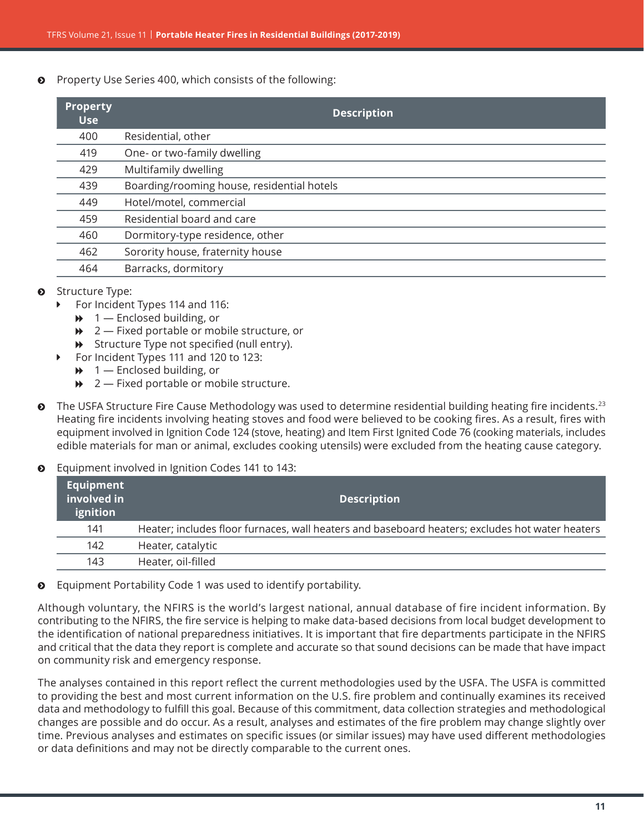Property Use Series 400, which consists of the following:

| <b>Property</b><br><b>Use</b> | <b>Description</b>                         |
|-------------------------------|--------------------------------------------|
| 400                           | Residential, other                         |
| 419                           | One- or two-family dwelling                |
| 429                           | Multifamily dwelling                       |
| 439                           | Boarding/rooming house, residential hotels |
| 449                           | Hotel/motel, commercial                    |
| 459                           | Residential board and care                 |
| 460                           | Dormitory-type residence, other            |
| 462                           | Sorority house, fraternity house           |
| 464                           | Barracks, dormitory                        |

#### $\odot$  Structure Type:

- For Incident Types 114 and 116:
	- $\rightarrow$  1 Enclosed building, or
	- $\rightarrow$  2 Fixed portable or mobile structure, or
	- $\rightarrow$  Structure Type not specified (null entry).
- ▶ For Incident Types 111 and 120 to 123:
	- $\rightarrow$  1 Enclosed building, or
	- $\rightarrow$  2 Fixed portable or mobile structure.
- $\bullet$  The USFA Structure Fire Cause Methodology was used to determine residential building heating fire incidents.<sup>[23](#page-12-0)</sup> Heating fire incidents involving heating stoves and food were believed to be cooking fires. As a result, fires with equipment involved in Ignition Code 124 (stove, heating) and Item First Ignited Code 76 (cooking materials, includes edible materials for man or animal, excludes cooking utensils) were excluded from the heating cause category.

#### $\odot$  Equipment involved in Ignition Codes 141 to 143:

| Equipment<br>$\,$ involved in $\,$<br>ignition | <b>Description</b>                                                                              |
|------------------------------------------------|-------------------------------------------------------------------------------------------------|
| 141                                            | Heater; includes floor furnaces, wall heaters and baseboard heaters; excludes hot water heaters |
| 142                                            | Heater, catalytic                                                                               |
| 143                                            | Heater, oil-filled                                                                              |

 $\odot$  Equipment Portability Code 1 was used to identify portability.

Although voluntary, the NFIRS is the world's largest national, annual database of fire incident information. By contributing to the NFIRS, the fire service is helping to make data-based decisions from local budget development to the identification of national preparedness initiatives. It is important that fire departments participate in the NFIRS and critical that the data they report is complete and accurate so that sound decisions can be made that have impact on community risk and emergency response.

The analyses contained in this report reflect the current methodologies used by the USFA. The USFA is committed to providing the best and most current information on the U.S. fire problem and continually examines its received data and methodology to fulfill this goal. Because of this commitment, data collection strategies and methodological changes are possible and do occur. As a result, analyses and estimates of the fire problem may change slightly over time. Previous analyses and estimates on specific issues (or similar issues) may have used different methodologies or data definitions and may not be directly comparable to the current ones.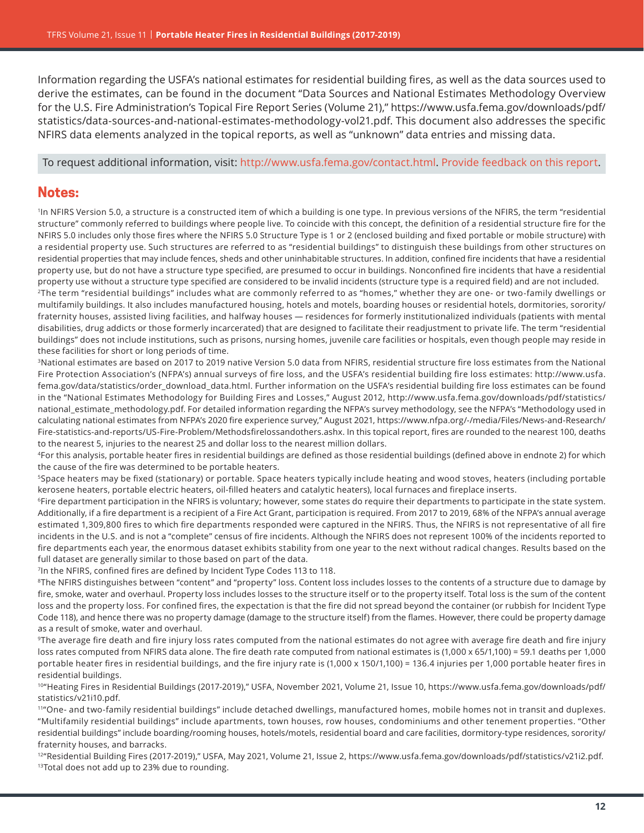<span id="page-11-0"></span>Information regarding the USFA's national estimates for residential building fires, as well as the data sources used to derive the estimates, can be found in the document "Data Sources and National Estimates Methodology Overview for the U.S. Fire Administration's Topical Fire Report Series (Volume 21)," [https://www.usfa.fema.gov/downloads/pdf/](https://www.usfa.fema.gov/downloads/pdf/statistics/data-sources-and-national-estimates-methodology-vol21.pdf) [statistics/data-sources-and-national-estimates-methodology-vol21.pdf](https://www.usfa.fema.gov/downloads/pdf/statistics/data-sources-and-national-estimates-methodology-vol21.pdf). This document also addresses the specific NFIRS data elements analyzed in the topical reports, as well as "unknown" data entries and missing data.

To request additional information, visit:<http://www.usfa.fema.gov/contact.html>. [Provide feedback on this report](http://apps.usfa.fema.gov/contact/dataReportEval?reportTitle=Portable%20Heater%20Fires%20in%20Residential%20Buildings%20(2017-2019)).

## **Notes:**

1 In NFIRS Version 5.0, a structure is a constructed item of which a building is one type. In previous versions of the NFIRS, the term "residential structure" commonly referred to buildings where people live. To coincide with this concept, the definition of a residential structure fire for the NFIRS 5.0 includes only those fires where the NFIRS 5.0 Structure Type is 1 or 2 (enclosed building and fixed portable or mobile structure) with a residential property use. Such structures are referred to as "residential buildings" to distinguish these buildings from other structures on residential properties that may include fences, sheds and other uninhabitable structures. In addition, confined fire incidents that have a residential property use, but do not have a structure type specified, are presumed to occur in buildings. Nonconfined fire incidents that have a residential property use without a structure type specified are considered to be invalid incidents (structure type is a required field) and are not included.

<sup>2</sup>The term "residential buildings" includes what are commonly referred to as "homes," whether they are one- or two-family dwellings or multifamily buildings. It also includes manufactured housing, hotels and motels, boarding houses or residential hotels, dormitories, sorority/ fraternity houses, assisted living facilities, and halfway houses — residences for formerly institutionalized individuals (patients with mental disabilities, drug addicts or those formerly incarcerated) that are designed to facilitate their readjustment to private life. The term "residential buildings" does not include institutions, such as prisons, nursing homes, juvenile care facilities or hospitals, even though people may reside in these facilities for short or long periods of time.

<sup>3</sup>National estimates are based on 2017 to 2019 native Version 5.0 data from NFIRS, residential structure fire loss estimates from the National Fire Protection Association's (NFPA's) annual surveys of fire loss, and the USFA's residential building fire loss estimates: [http://www.usfa.](http://www.usfa.fema.gov/data/statistics/order_download_data.html) [fema.gov/data/statistics/order\\_download\\_data.html](http://www.usfa.fema.gov/data/statistics/order_download_data.html). Further information on the USFA's residential building fire loss estimates can be found in the "National Estimates Methodology for Building Fires and Losses," August 2012, [http://www.usfa.fema.gov/downloads/pdf/statistics/](http://www.usfa.fema.gov/downloads/pdf/statistics/national_estimate_methodology.pdf) [national\\_estimate\\_methodology.pdf](http://www.usfa.fema.gov/downloads/pdf/statistics/national_estimate_methodology.pdf). For detailed information regarding the NFPA's survey methodology, see the NFPA's "Methodology used in calculating national estimates from NFPA's 2020 fire experience survey," August 2021, [https://www.nfpa.org/-/media/Files/News-and-Research/](https://www.nfpa.org/-/media/Files/News-and-Research/Fire-statistics-and-reports/US-Fire-Problem/Methodsfirelossandothers.ashx) [Fire-statistics-and-reports/US-Fire-Problem/Methodsfirelossandothers.ashx.](https://www.nfpa.org/-/media/Files/News-and-Research/Fire-statistics-and-reports/US-Fire-Problem/Methodsfirelossandothers.ashx) In this topical report, fires are rounded to the nearest 100, deaths to the nearest 5, injuries to the nearest 25 and dollar loss to the nearest million dollars.

4For this analysis, portable heater fires in residential buildings are defined as those residential buildings (defined above in endnote 2) for which the cause of the fire was determined to be portable heaters.

<sup>5</sup>Space heaters may be fixed (stationary) or portable. Space heaters typically include heating and wood stoves, heaters (including portable kerosene heaters, portable electric heaters, oil-filled heaters and catalytic heaters), local furnaces and fireplace inserts.

<sup>6</sup>Fire department participation in the NFIRS is voluntary; however, some states do require their departments to participate in the state system. Additionally, if a fire department is a recipient of a Fire Act Grant, participation is required. From 2017 to 2019, 68% of the NFPA's annual average estimated 1,309,800 fires to which fire departments responded were captured in the NFIRS. Thus, the NFIRS is not representative of all fire incidents in the U.S. and is not a "complete" census of fire incidents. Although the NFIRS does not represent 100% of the incidents reported to fire departments each year, the enormous dataset exhibits stability from one year to the next without radical changes. Results based on the full dataset are generally similar to those based on part of the data.

<sup>7</sup>In the NFIRS, confined fires are defined by Incident Type Codes 113 to 118.

<sup>8</sup>The NFIRS distinguishes between "content" and "property" loss. Content loss includes losses to the contents of a structure due to damage by fire, smoke, water and overhaul. Property loss includes losses to the structure itself or to the property itself. Total loss is the sum of the content loss and the property loss. For confined fires, the expectation is that the fire did not spread beyond the container (or rubbish for Incident Type Code 118), and hence there was no property damage (damage to the structure itself) from the flames. However, there could be property damage as a result of smoke, water and overhaul.

<sup>9</sup>The average fire death and fire injury loss rates computed from the national estimates do not agree with average fire death and fire injury loss rates computed from NFIRS data alone. The fire death rate computed from national estimates is (1,000 x 65/1,100) = 59.1 deaths per 1,000 portable heater fires in residential buildings, and the fire injury rate is (1,000 x 150/1,100) = 136.4 injuries per 1,000 portable heater fires in residential buildings.

<sup>10</sup>"Heating Fires in Residential Buildings (2017-2019)," USFA, November 2021, Volume 21, Issue 10, https://www.usfa.fema.gov/downloads/pdf/ statistics/v21i10.pdf.

<sup>11</sup>"One- and two-family residential buildings" include detached dwellings, manufactured homes, mobile homes not in transit and duplexes. "Multifamily residential buildings" include apartments, town houses, row houses, condominiums and other tenement properties. "Other residential buildings" include boarding/rooming houses, hotels/motels, residential board and care facilities, dormitory-type residences, sorority/ fraternity houses, and barracks.

<sup>12</sup>"Residential Building Fires (2017-2019)," USFA, May 2021, Volume 21, Issue 2, <https://www.usfa.fema.gov/downloads/pdf/statistics/v21i2.pdf>. 13Total does not add up to 23% due to rounding.